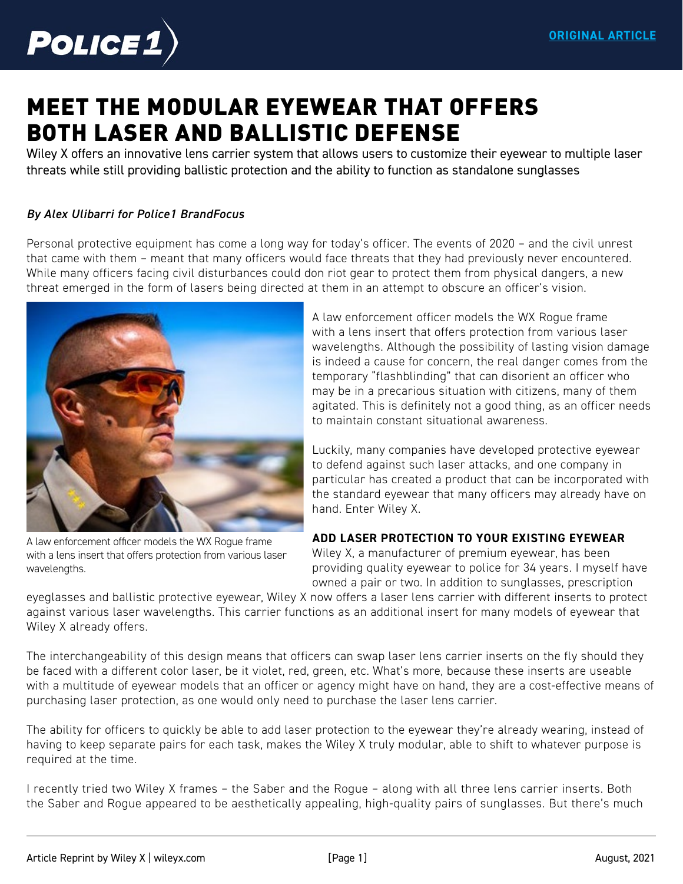

# [MEET THE MODULAR EYEWEAR THAT OFFERS](https://www.police1.com/police-products/apparel/eyewear/articles/meet-the-modular-eyewear-that-offers-both-laser-and-ballistic-defense-eJck680WYeWujamp/)  BOTH LASER AND BALLISTIC DEFENSE

Wiley X offers an innovative lens carrier system that allows users to customize their eyewear to multiple laser threats while still providing ballistic protection and the ability to function as standalone sunglasses

#### *By Alex Ulibarri for Police1 BrandFocus*

Personal protective equipment has come a long way for today's officer. The events of 2020 – and the civil unrest that came with them – meant that many officers would face threats that they had previously never encountered. While many officers facing civil disturbances could don riot gear to protect them from physical dangers, a new threat emerged in the form of lasers being directed at them in an attempt to obscure an officer's vision.



A law enforcement officer models the WX Rogue frame with a lens insert that offers protection from various laser wavelengths.

A law enforcement officer models the WX Rogue frame with a lens insert that offers protection from various laser wavelengths. Although the possibility of lasting vision damage is indeed a cause for concern, the real danger comes from the temporary "flashblinding" that can disorient an officer who may be in a precarious situation with citizens, many of them agitated. This is definitely not a good thing, as an officer needs to maintain constant situational awareness.

Luckily, many companies have developed protective eyewear to defend against such laser attacks, and one company in particular has created a product that can be incorporated with the standard eyewear that many officers may already have on hand. Enter Wiley X.

#### **ADD LASER PROTECTION TO YOUR EXISTING EYEWEAR**

Wiley X, a manufacturer of premium eyewear, has been providing quality eyewear to police for 34 years. I myself have owned a pair or two. In addition to sunglasses, prescription

eyeglasses and ballistic protective eyewear, Wiley X now offers a laser lens carrier with different inserts to protect against various laser wavelengths. This carrier functions as an additional insert for many models of eyewear that Wiley X already offers.

The interchangeability of this design means that officers can swap laser lens carrier inserts on the fly should they be faced with a different color laser, be it violet, red, green, etc. What's more, because these inserts are useable with a multitude of eyewear models that an officer or agency might have on hand, they are a cost-effective means of purchasing laser protection, as one would only need to purchase the laser lens carrier.

The ability for officers to quickly be able to add laser protection to the eyewear they're already wearing, instead of having to keep separate pairs for each task, makes the Wiley X truly modular, able to shift to whatever purpose is required at the time.

I recently tried two Wiley X frames – the Saber and the Rogue – along with all three lens carrier inserts. Both the Saber and Rogue appeared to be aesthetically appealing, high-quality pairs of sunglasses. But there's much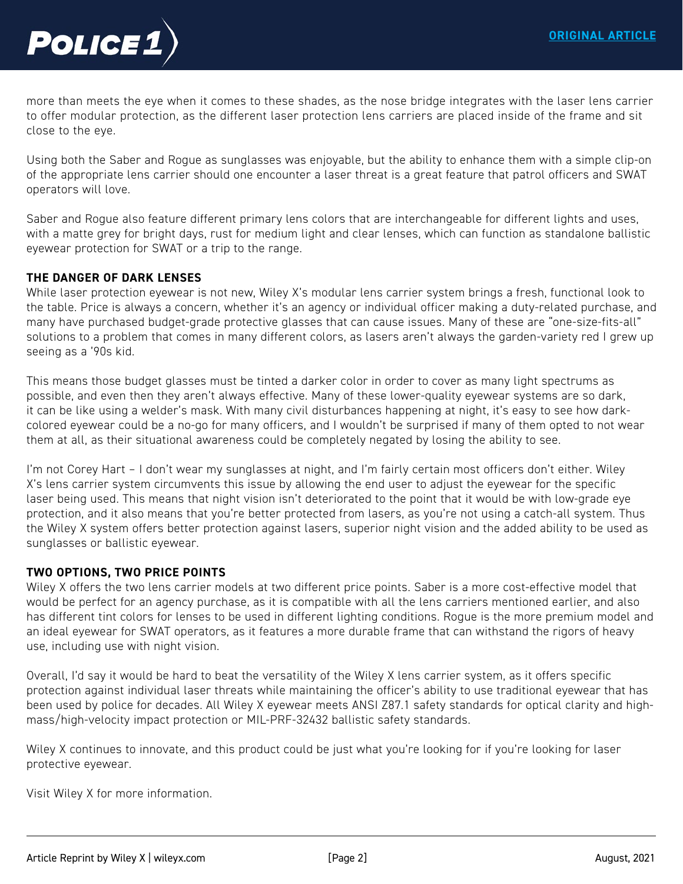

more than meets the eye when it comes to these shades, as the nose bridge integrates with the laser lens carrier to offer modular protection, as the different laser protection lens carriers are placed inside of the frame and sit close to the eye.

Using both the Saber and Rogue as sunglasses was enjoyable, but the ability to enhance them with a simple clip-on of the appropriate lens carrier should one encounter a laser threat is a great feature that patrol officers and SWAT operators will love.

Saber and Rogue also feature different primary lens colors that are interchangeable for different lights and uses, with a matte grey for bright days, rust for medium light and clear lenses, which can function as standalone ballistic eyewear protection for SWAT or a trip to the range.

#### **THE DANGER OF DARK LENSES**

While laser protection eyewear is not new, Wiley X's modular lens carrier system brings a fresh, functional look to [the table. Price is always a concern, whether it's an agency or individual officer making a duty-related purchase, and](https://www.police1.com/police-products/apparel/eyewear/articles/meet-the-modular-eyewear-that-offers-both-laser-and-ballistic-defense-eJck680WYeWujamp/)  many have purchased budget-grade protective glasses that can cause issues. Many of these are "one-size-fits-all" solutions to a problem that comes in many different colors, as lasers aren't always the garden-variety red I grew up seeing as a '90s kid.

This means those budget glasses must be tinted a darker color in order to cover as many light spectrums as possible, and even then they aren't always effective. Many of these lower-quality eyewear systems are so dark, it can be like using a welder's mask. With many civil disturbances happening at night, it's easy to see how darkcolored eyewear could be a no-go for many officers, and I wouldn't be surprised if many of them opted to not wear them at all, as their situational awareness could be completely negated by losing the ability to see.

I'm not Corey Hart – I don't wear my sunglasses at night, and I'm fairly certain most officers don't either. Wiley X's lens carrier system circumvents this issue by allowing the end user to adjust the eyewear for the specific laser being used. This means that night vision isn't deteriorated to the point that it would be with low-grade eye protection, and it also means that you're better protected from lasers, as you're not using a catch-all system. Thus the Wiley X system offers better protection against lasers, superior night vision and the added ability to be used as sunglasses or ballistic eyewear.

#### **TWO OPTIONS, TWO PRICE POINTS**

Wiley X offers the two lens carrier models at two different price points. Saber is a more cost-effective model that would be perfect for an agency purchase, as it is compatible with all the lens carriers mentioned earlier, and also has different tint colors for lenses to be used in different lighting conditions. Rogue is the more premium model and an ideal eyewear for SWAT operators, as it features a more durable frame that can withstand the rigors of heavy use, including use with night vision.

Overall, I'd say it would be hard to beat the versatility of the Wiley X lens carrier system, as it offers specific protection against individual laser threats while maintaining the officer's ability to use traditional eyewear that has been used by police for decades. All Wiley X eyewear meets ANSI Z87.1 safety standards for optical clarity and highmass/high-velocity impact protection or MIL-PRF-32432 ballistic safety standards.

Wiley X continues to innovate, and this product could be just what you're looking for if you're looking for laser protective eyewear.

[Visit Wiley X for more information.](https://www.wileyx.com)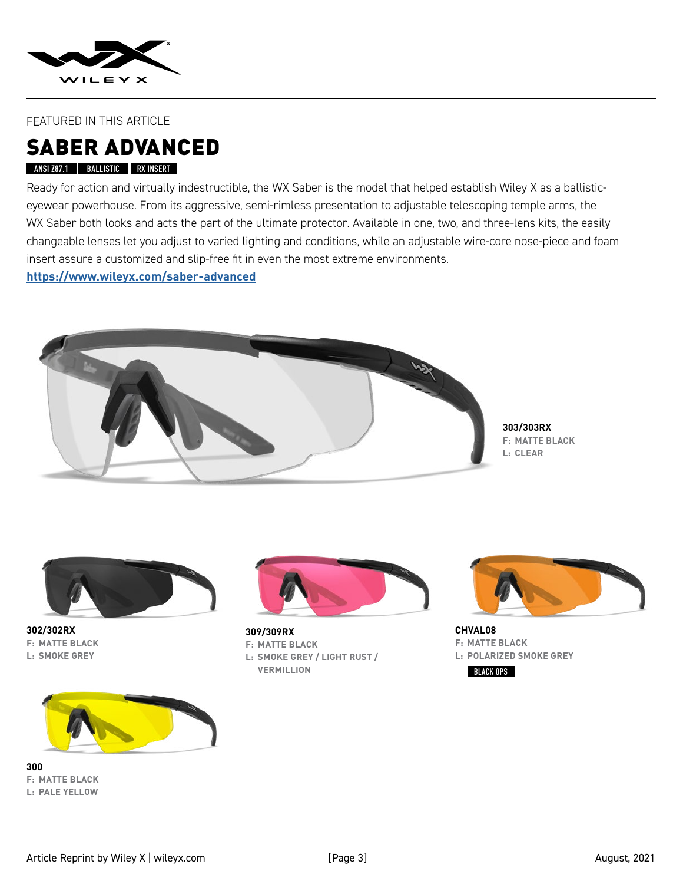

#### FEATURED IN THIS ARTICLE

## SABER ADVANCED

#### **ANSI Z87.1 BALLISTIC RX INSERT**

Ready for action and virtually indestructible, the WX Saber is the model that helped establish Wiley X as a ballisticeyewear powerhouse. From its aggressive, semi-rimless presentation to adjustable telescoping temple arms, the WX Saber both looks and acts the part of the ultimate protector. Available in one, two, and three-lens kits, the easily [changeable lenses let you adjust to varied lighting and conditions, while an adjustable wire-core nose-piece and foam](https://www.wileyx.com/saber-advanced)  insert assure a customized and slip-free fit in even the most extreme environments.

**https://www.wileyx.com/saber-advanced**



**303/303RX F: MATTE BLACK L: CLEAR**



**302/302RX F: MATTE BLACK L: SMOKE GREY** 



**309/309RX F: MATTE BLACK L: SMOKE GREY / LIGHT RUST / VERMILLION**



**CHVAL08 F: MATTE BLACK L: POLARIZED SMOKE GREY BLACK OPS**



**300 F: MATTE BLACK L: PALE YELLOW**